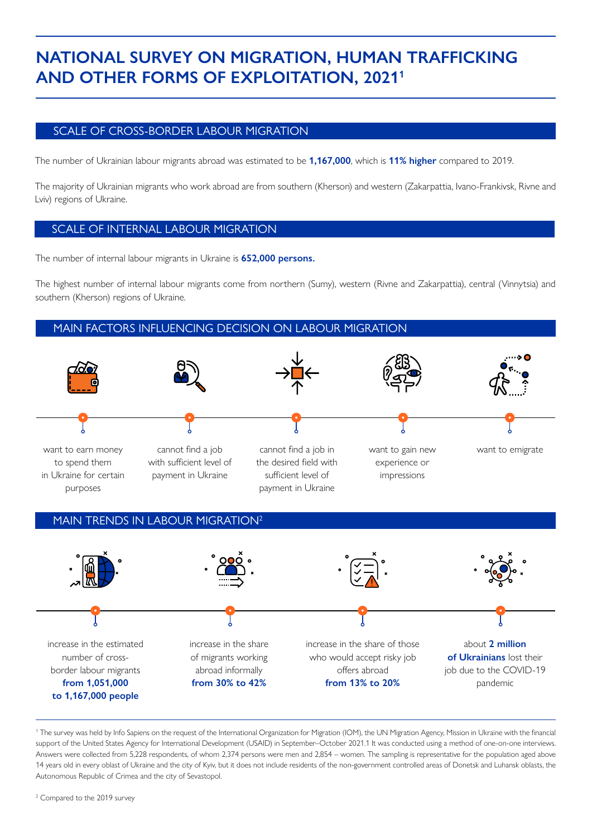# **NATIONAL SURVEY ON MIGRATION, HUMAN TRAFFICKING AND OTHER FORMS OF EXPLOITATION, 20211**

### SCALE OF CROSS-BORDER LABOUR MIGRATION

The number of Ukrainian labour migrants abroad was estimated to be **1,167,000**, which is **11% higher** compared to 2019.

The majority of Ukrainian migrants who work abroad are from southern (Kherson) and western (Zakarpattia, Ivano-Frankivsk, Rivne and Lviv) regions of Ukraine.

#### SCALE OF INTERNAL LABOUR MIGRATION

The number of internal labour migrants in Ukraine is **652,000 persons.**

The highest number of internal labour migrants come from northern (Sumy), western (Rivne and Zakarpattia), central (Vinnytsia) and southern (Kherson) regions of Ukraine.

### MAIN FACTORS INFLUENCING DECISION ON LABOUR MIGRATION



### MAIN TRENDS IN LABOUR MIGRATION<sup>2</sup>



<sup>1</sup> The survey was held by Info Sapiens on the request of the International Organization for Migration (IOM), the UN Migration Agency, Mission in Ukraine with the financial support of the United States Agency for International Development (USAID) in September–October 2021.1 It was conducted using a method of one-on-one interviews. Answers were collected from 5,228 respondents, of whom 2,374 persons were men and 2,854 – women. The sampling is representative for the population aged above 14 years old in every oblast of Ukraine and the city of Kyiv, but it does not include residents of the non-government controlled areas of Donetsk and Luhansk oblasts, the Autonomous Republic of Crimea and the city of Sevastopol.